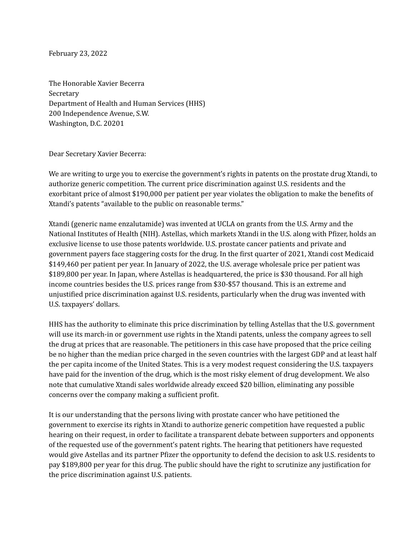February 23, 2022

The Honorable Xavier Becerra Secretary Department of Health and Human Services (HHS) 200 Independence Avenue, S.W. Washington, D.C. 20201

Dear Secretary Xavier Becerra:

We are writing to urge you to exercise the government's rights in patents on the prostate drug Xtandi, to authorize generic competition. The current price discrimination against U.S. residents and the exorbitant price of almost \$190,000 per patient per year violates the obligation to make the benefits of Xtandi's patents "available to the public on reasonable terms."

Xtandi (generic name enzalutamide) was invented at UCLA on grants from the U.S. Army and the National Institutes of Health (NIH). Astellas, which markets Xtandi in the U.S. along with Pfizer, holds an exclusive license to use those patents worldwide. U.S. prostate cancer patients and private and government payers face staggering costs for the drug. In the first quarter of 2021, Xtandi cost Medicaid \$149,460 per patient per year. In January of 2022, the U.S. average wholesale price per patient was \$189,800 per year. In Japan, where Astellas is headquartered, the price is \$30 thousand. For all high income countries besides the U.S. prices range from \$30-\$57 thousand. This is an extreme and unjustified price discrimination against U.S. residents, particularly when the drug was invented with U.S. taxpayers' dollars.

HHS has the authority to eliminate this price discrimination by telling Astellas that the U.S. government will use its march-in or government use rights in the Xtandi patents, unless the company agrees to sell the drug at prices that are reasonable. The petitioners in this case have proposed that the price ceiling be no higher than the median price charged in the seven countries with the largest GDP and at least half the per capita income of the United States. This is a very modest request considering the U.S. taxpayers have paid for the invention of the drug, which is the most risky element of drug development. We also note that cumulative Xtandi sales worldwide already exceed \$20 billion, eliminating any possible concerns over the company making a sufficient profit.

It is our understanding that the persons living with prostate cancer who have petitioned the government to exercise its rights in Xtandi to authorize generic competition have requested a public hearing on their request, in order to facilitate a transparent debate between supporters and opponents of the requested use of the government's patent rights. The hearing that petitioners have requested would give Astellas and its partner Pfizer the opportunity to defend the decision to ask U.S. residents to pay \$189,800 per year for this drug. The public should have the right to scrutinize any justification for the price discrimination against U.S. patients.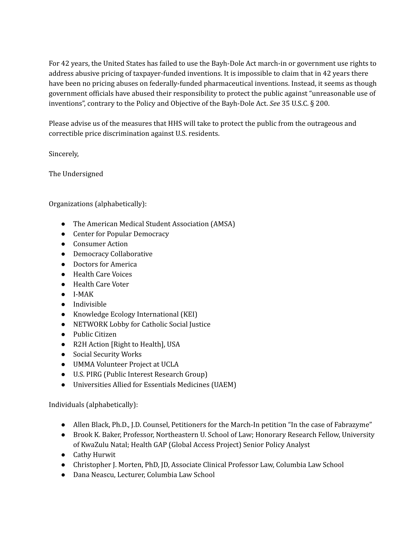For 42 years, the United States has failed to use the Bayh-Dole Act march-in or government use rights to address abusive pricing of taxpayer-funded inventions. It is impossible to claim that in 42 years there have been no pricing abuses on federally-funded pharmaceutical inventions. Instead, it seems as though government officials have abused their responsibility to protect the public against "unreasonable use of inventions", contrary to the Policy and Objective of the Bayh-Dole Act. *See* 35 U.S.C. § 200.

Please advise us of the measures that HHS will take to protect the public from the outrageous and correctible price discrimination against U.S. residents.

Sincerely,

The Undersigned

Organizations (alphabetically):

- The American Medical Student Association (AMSA)
- Center for Popular Democracy
- Consumer Action
- Democracy Collaborative
- Doctors for America
- Health Care Voices
- Health Care Voter
- I-MAK
- Indivisible
- Knowledge Ecology International (KEI)
- NETWORK Lobby for Catholic Social Justice
- Public Citizen
- R2H Action [Right to Health], USA
- Social Security Works
- UMMA Volunteer Project at UCLA
- U.S. PIRG (Public Interest Research Group)
- Universities Allied for Essentials Medicines (UAEM)

Individuals (alphabetically):

- Allen Black, Ph.D., J.D. Counsel, Petitioners for the March-In petition "In the case of Fabrazyme"
- Brook K. Baker, Professor, Northeastern U. School of Law; Honorary Research Fellow, University of KwaZulu Natal; Health GAP (Global Access Project) Senior Policy Analyst
- Cathy Hurwit
- Christopher J. Morten, PhD, JD, Associate Clinical Professor Law, Columbia Law School
- Dana Neascu, Lecturer, Columbia Law School